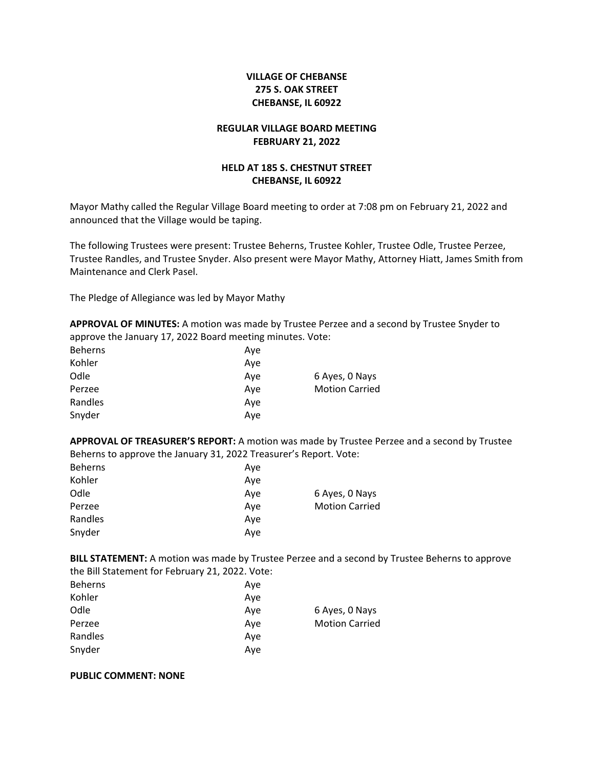# **VILLAGE OF CHEBANSE 275 S. OAK STREET CHEBANSE, IL 60922**

## **REGULAR VILLAGE BOARD MEETING FEBRUARY 21, 2022**

## **HELD AT 185 S. CHESTNUT STREET CHEBANSE, IL 60922**

Mayor Mathy called the Regular Village Board meeting to order at 7:08 pm on February 21, 2022 and announced that the Village would be taping.

The following Trustees were present: Trustee Beherns, Trustee Kohler, Trustee Odle, Trustee Perzee, Trustee Randles, and Trustee Snyder. Also present were Mayor Mathy, Attorney Hiatt, James Smith from Maintenance and Clerk Pasel.

The Pledge of Allegiance was led by Mayor Mathy

**APPROVAL OF MINUTES:** A motion was made by Trustee Perzee and a second by Trustee Snyder to approve the January 17, 2022 Board meeting minutes. Vote:

| Ave |                       |
|-----|-----------------------|
| Ave |                       |
| Ave | 6 Ayes, 0 Nays        |
| Ave | <b>Motion Carried</b> |
| Ave |                       |
| Ave |                       |
|     |                       |

**APPROVAL OF TREASURER'S REPORT:** A motion was made by Trustee Perzee and a second by Trustee Beherns to approve the January 31, 2022 Treasurer's Report. Vote:

| <b>Beherns</b> | Ave |                       |
|----------------|-----|-----------------------|
| Kohler         | Ave |                       |
| Odle           | Ave | 6 Ayes, 0 Nays        |
| Perzee         | Ave | <b>Motion Carried</b> |
| Randles        | Ave |                       |
| Snyder         | Ave |                       |
|                |     |                       |

**BILL STATEMENT:** A motion was made by Trustee Perzee and a second by Trustee Beherns to approve the Bill Statement for February 21, 2022. Vote:

| <b>Beherns</b> | Ave |                       |
|----------------|-----|-----------------------|
| Kohler         | Ave |                       |
| Odle           | Ave | 6 Ayes, 0 Nays        |
| Perzee         | Ave | <b>Motion Carried</b> |
| Randles        | Ave |                       |
| Snyder         | Ave |                       |
|                |     |                       |

## **PUBLIC COMMENT: NONE**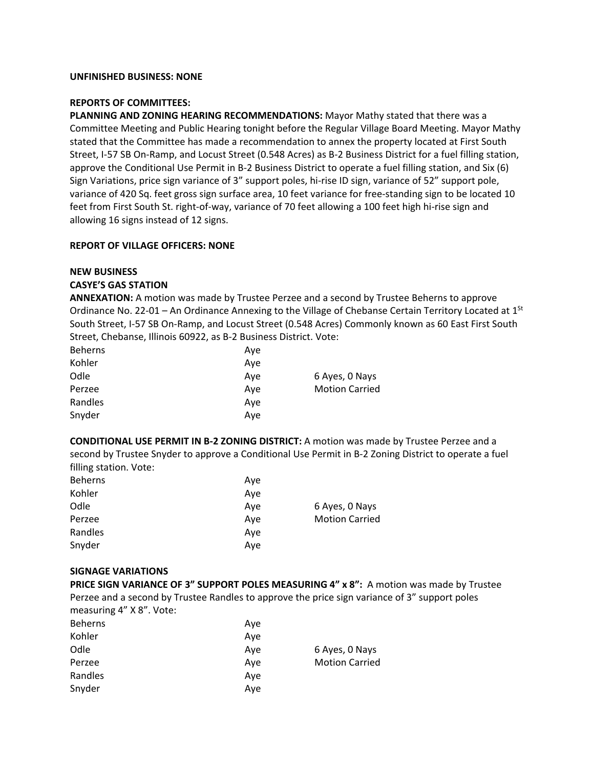## **UNFINISHED BUSINESS: NONE**

#### **REPORTS OF COMMITTEES:**

**PLANNING AND ZONING HEARING RECOMMENDATIONS:** Mayor Mathy stated that there was a Committee Meeting and Public Hearing tonight before the Regular Village Board Meeting. Mayor Mathy stated that the Committee has made a recommendation to annex the property located at First South Street, I-57 SB On-Ramp, and Locust Street (0.548 Acres) as B-2 Business District for a fuel filling station, approve the Conditional Use Permit in B-2 Business District to operate a fuel filling station, and Six (6) Sign Variations, price sign variance of 3" support poles, hi-rise ID sign, variance of 52" support pole, variance of 420 Sq. feet gross sign surface area, 10 feet variance for free-standing sign to be located 10 feet from First South St. right-of-way, variance of 70 feet allowing a 100 feet high hi-rise sign and allowing 16 signs instead of 12 signs.

#### **REPORT OF VILLAGE OFFICERS: NONE**

## **NEW BUSINESS**

## **CASYE'S GAS STATION**

**ANNEXATION:** A motion was made by Trustee Perzee and a second by Trustee Beherns to approve Ordinance No. 22-01 – An Ordinance Annexing to the Village of Chebanse Certain Territory Located at  $1^{St}$ South Street, I-57 SB On-Ramp, and Locust Street (0.548 Acres) Commonly known as 60 East First South Street, Chebanse, Illinois 60922, as B-2 Business District. Vote:

| <b>Beherns</b> | Ave |                       |
|----------------|-----|-----------------------|
| Kohler         | Ave |                       |
| Odle           | Ave | 6 Ayes, 0 Nays        |
| Perzee         | Ave | <b>Motion Carried</b> |
| Randles        | Ave |                       |
| Snyder         | Ave |                       |

**CONDITIONAL USE PERMIT IN B-2 ZONING DISTRICT:** A motion was made by Trustee Perzee and a second by Trustee Snyder to approve a Conditional Use Permit in B-2 Zoning District to operate a fuel filling station. Vote:

| <b>Beherns</b> | Ave |                       |
|----------------|-----|-----------------------|
| Kohler         | Ave |                       |
| Odle           | Ave | 6 Ayes, 0 Nays        |
| Perzee         | Ave | <b>Motion Carried</b> |
| Randles        | Ave |                       |
| Snyder         | Ave |                       |

## **SIGNAGE VARIATIONS**

**PRICE SIGN VARIANCE OF 3" SUPPORT POLES MEASURING 4" x 8":** A motion was made by Trustee Perzee and a second by Trustee Randles to approve the price sign variance of 3" support poles measuring 4" X 8". Vote:

| <b>Beherns</b> | Ave |                       |
|----------------|-----|-----------------------|
| Kohler         | Ave |                       |
| Odle           | Ave | 6 Ayes, 0 Nays        |
| Perzee         | Ave | <b>Motion Carried</b> |
| Randles        | Ave |                       |
| Snyder         | Ave |                       |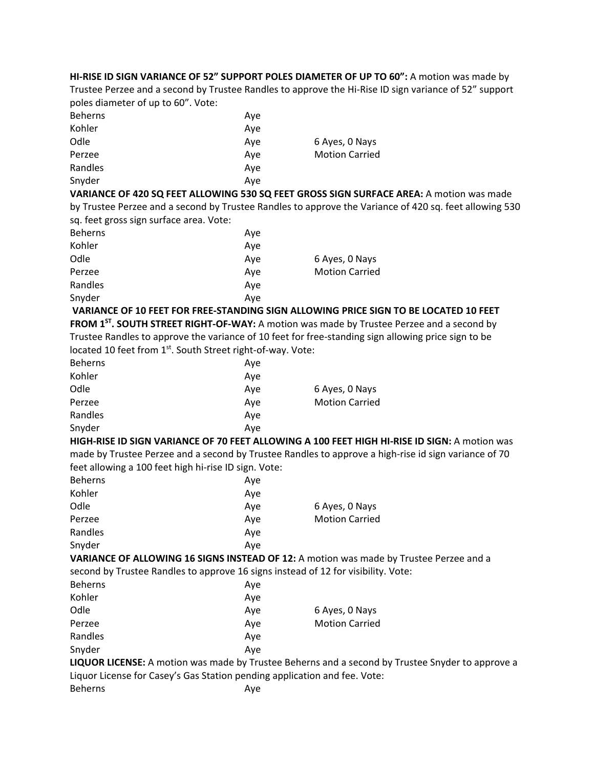**HI-RISE ID SIGN VARIANCE OF 52" SUPPORT POLES DIAMETER OF UP TO 60":** A motion was made by Trustee Perzee and a second by Trustee Randles to approve the Hi-Rise ID sign variance of 52" support poles diameter of up to 60". Vote:

| <b>Beherns</b> | Ave |                       |
|----------------|-----|-----------------------|
| Kohler         | Ave |                       |
| Odle           | Ave | 6 Ayes, 0 Nays        |
| Perzee         | Ave | <b>Motion Carried</b> |
| Randles        | Ave |                       |
| Snyder         | Ave |                       |

**VARIANCE OF 420 SQ FEET ALLOWING 530 SQ FEET GROSS SIGN SURFACE AREA:** A motion was made by Trustee Perzee and a second by Trustee Randles to approve the Variance of 420 sq. feet allowing 530 sq. feet gross sign surface area. Vote:

| <b>Beherns</b> | Ave |                       |
|----------------|-----|-----------------------|
| Kohler         | Ave |                       |
| Odle           | Ave | 6 Ayes, 0 Nays        |
| Perzee         | Ave | <b>Motion Carried</b> |
| Randles        | Ave |                       |
| Snyder         | Aye |                       |
|                |     |                       |

**VARIANCE OF 10 FEET FOR FREE-STANDING SIGN ALLOWING PRICE SIGN TO BE LOCATED 10 FEET**  FROM 1<sup>ST</sup>. SOUTH STREET RIGHT-OF-WAY: A motion was made by Trustee Perzee and a second by Trustee Randles to approve the variance of 10 feet for free-standing sign allowing price sign to be located 10 feet from 1st. South Street right-of-way. Vote:

| <b>Beherns</b> | Ave |                       |
|----------------|-----|-----------------------|
| Kohler         | Ave |                       |
| Odle           | Ave | 6 Ayes, 0 Nays        |
| Perzee         | Ave | <b>Motion Carried</b> |
| Randles        | Ave |                       |
| Snyder         | Ave |                       |

**HIGH-RISE ID SIGN VARIANCE OF 70 FEET ALLOWING A 100 FEET HIGH HI-RISE ID SIGN:** A motion was made by Trustee Perzee and a second by Trustee Randles to approve a high-rise id sign variance of 70 feet allowing a 100 feet high hi-rise ID sign. Vote:

| <b>Beherns</b> | Ave |                       |
|----------------|-----|-----------------------|
| Kohler         | Ave |                       |
| Odle           | Ave | 6 Ayes, 0 Nays        |
| Perzee         | Ave | <b>Motion Carried</b> |
| Randles        | Ave |                       |
| Snyder         | Ave |                       |

**VARIANCE OF ALLOWING 16 SIGNS INSTEAD OF 12:** A motion was made by Trustee Perzee and a second by Trustee Randles to approve 16 signs instead of 12 for visibility. Vote:

| Beherns | Ave |                       |
|---------|-----|-----------------------|
| Kohler  | Ave |                       |
| Odle    | Ave | 6 Ayes, 0 Nays        |
| Perzee  | Ave | <b>Motion Carried</b> |
| Randles | Ave |                       |
| Snyder  | Ave |                       |
|         |     |                       |

**LIQUOR LICENSE:** A motion was made by Trustee Beherns and a second by Trustee Snyder to approve a Liquor License for Casey's Gas Station pending application and fee. Vote:

| <b>Beherns</b> | Aye |
|----------------|-----|
|----------------|-----|